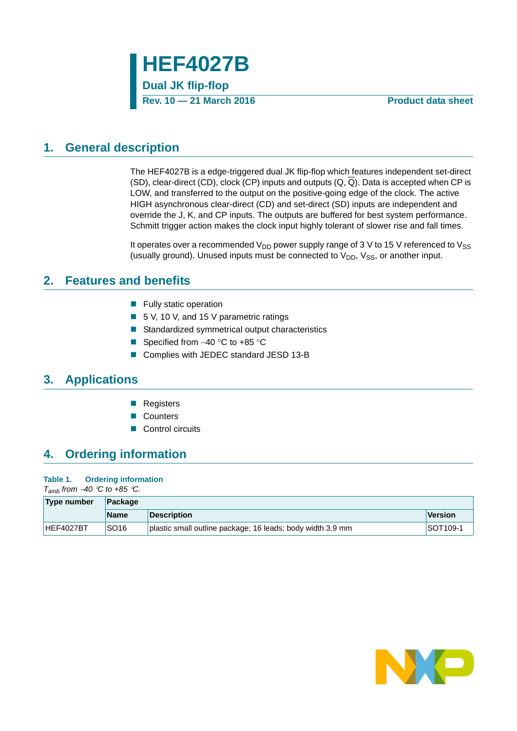

## <span id="page-0-0"></span>**1. General description**

The HEF4027B is a edge-triggered dual JK flip-flop which features independent set-direct (SD), clear-direct (CD), clock (CP) inputs and outputs  $(Q, \overline{Q})$ . Data is accepted when CP is LOW, and transferred to the output on the positive-going edge of the clock. The active HIGH asynchronous clear-direct (CD) and set-direct (SD) inputs are independent and override the J, K, and CP inputs. The outputs are buffered for best system performance. Schmitt trigger action makes the clock input highly tolerant of slower rise and fall times.

It operates over a recommended  $V_{DD}$  power supply range of 3 V to 15 V referenced to  $V_{SS}$ (usually ground). Unused inputs must be connected to  $V_{DD}$ ,  $V_{SS}$ , or another input.

## <span id="page-0-1"></span>**2. Features and benefits**

- $\blacksquare$  Fully static operation
- 5 V, 10 V, and 15 V parametric ratings
- Standardized symmetrical output characteristics
- Specified from  $-40$  °C to  $+85$  °C
- Complies with JEDEC standard JESD 13-B

## <span id="page-0-2"></span>**3. Applications**

- Registers
- Counters
- Control circuits

## <span id="page-0-3"></span>**4. Ordering information**

### **Table 1. Ordering information**

*T<sub>amb</sub>* from  $-40$  <sup> $\degree$ </sup>C to  $+85$   $\degree$ C.

| Type number | Package          |                                                            |                      |  |  |  |  |  |
|-------------|------------------|------------------------------------------------------------|----------------------|--|--|--|--|--|
|             | <b>Name</b>      | <b>Description</b>                                         | Version              |  |  |  |  |  |
| HEF4027BT   | SO <sub>16</sub> | plastic small outline package; 16 leads; body width 3.9 mm | SOT <sub>109-1</sub> |  |  |  |  |  |

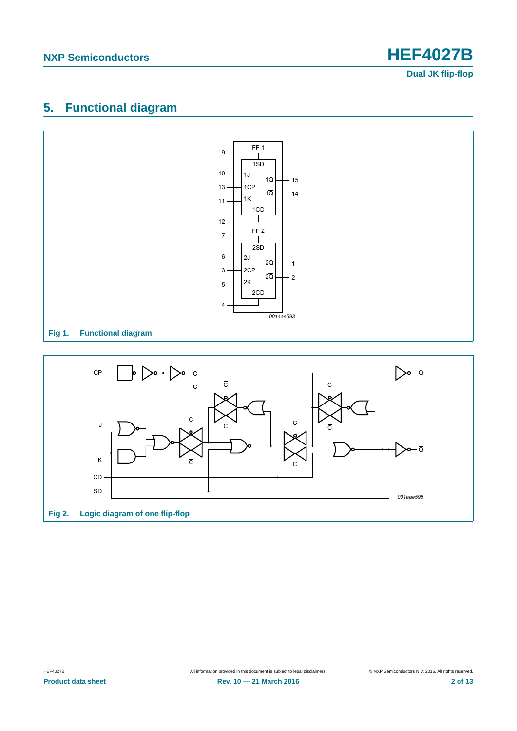## <span id="page-1-0"></span>**5. Functional diagram**



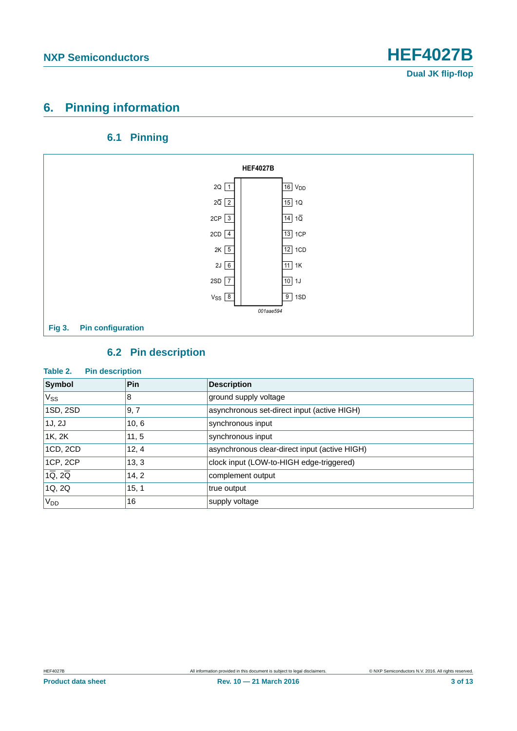## <span id="page-2-0"></span>**6. Pinning information**

## **6.1 Pinning**

<span id="page-2-1"></span>

## **6.2 Pin description**

# <span id="page-2-2"></span>**Table 2. Pin description**

| Symbol                            | <b>Pin</b> | <b>Description</b>                            |
|-----------------------------------|------------|-----------------------------------------------|
| $V_{SS}$                          | 8          | ground supply voltage                         |
| 1SD, 2SD                          | 9, 7       | asynchronous set-direct input (active HIGH)   |
| 1J, 2J                            | 10, 6      | synchronous input                             |
| 1K, 2K                            | 11, 5      | synchronous input                             |
| 1CD, 2CD                          | 12, 4      | asynchronous clear-direct input (active HIGH) |
| 1CP, 2CP                          | 13, 3      | clock input (LOW-to-HIGH edge-triggered)      |
| $1\overline{Q}$ , $2\overline{Q}$ | 14, 2      | complement output                             |
| 1Q, 2Q                            | 15, 1      | true output                                   |
| V <sub>DD</sub>                   | 16         | supply voltage                                |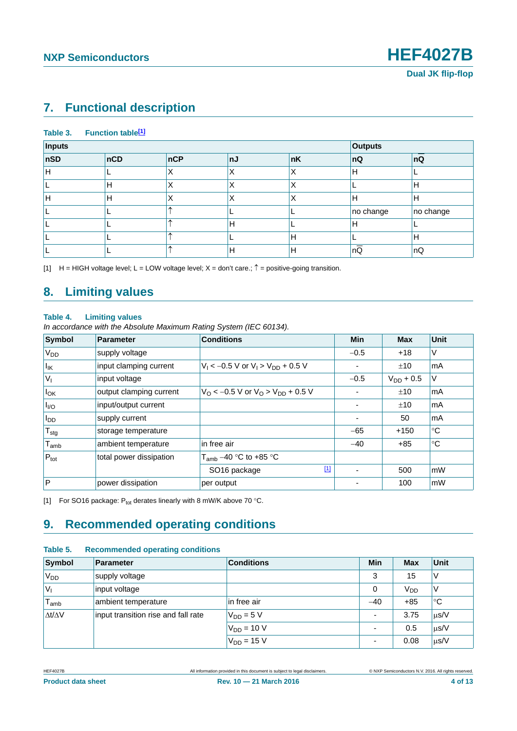## <span id="page-3-2"></span>**7. Functional description**

### Table 3. Function table<sup>[1]</sup>

| Inputs |     |     |              |    | <b>Outputs</b>  |           |
|--------|-----|-----|--------------|----|-----------------|-----------|
| nSD    | nCD | nCP | ∣nJ          | nK | nQ              | nQ        |
| Н      |     | ⋏   | $\checkmark$ | Χ  | Н               |           |
|        | Н   | Λ   |              | Χ  |                 | Н         |
| п      | Н   | Λ   |              | X  | Н               | Н         |
|        |     |     |              |    | no change       | no change |
|        |     |     | Н            |    | Н               |           |
|        |     |     |              | 'Η |                 | Н         |
|        |     |     | Н            | Н  | $n\overline{Q}$ | nQ        |

<span id="page-3-0"></span>[1]  $H = HIGH$  voltage level; L = LOW voltage level; X = don't care.;  $\hat{T} =$  positive-going transition.

## <span id="page-3-3"></span>**8. Limiting values**

### **Table 4. Limiting values**

*In accordance with the Absolute Maximum Rating System (IEC 60134).*

| Symbol                | Parameter               | <b>Conditions</b>                                                 | <b>Min</b>               | <b>Max</b>     | Unit        |
|-----------------------|-------------------------|-------------------------------------------------------------------|--------------------------|----------------|-------------|
| <b>V<sub>DD</sub></b> | supply voltage          |                                                                   | $-0.5$                   | $+18$          | ٧           |
| $I_{\mathsf{IK}}$     | input clamping current  | $V_1 < -0.5$ V or $V_1 > V_{DD} + 0.5$ V                          | ۰                        | ±10            | mA          |
| $ V_1$                | input voltage           |                                                                   | $-0.5$                   | $V_{DD}$ + 0.5 | V           |
| $I_{OK}$              | output clamping current | $V_{\Omega}$ < -0.5 V or V <sub>O</sub> > V <sub>DD</sub> + 0.5 V | ٠                        | ±10            | mA          |
| $I_{VQ}$              | input/output current    |                                                                   | $\overline{\phantom{a}}$ | ±10            | mA          |
| $I_{DD}$              | supply current          |                                                                   | $\overline{\phantom{a}}$ | 50             | mA          |
| $T_{\sf stg}$         | storage temperature     |                                                                   | $-65$                    | $+150$         | °C          |
| $T_{\mathsf{amb}}$    | ambient temperature     | in free air                                                       | $-40$                    | $+85$          | $^{\circ}C$ |
| $P_{\text{tot}}$      | total power dissipation | $T_{amb}$ –40 °C to +85 °C                                        |                          |                |             |
|                       |                         | $\boxed{1}$<br>SO <sub>16</sub> package                           | $\blacksquare$           | 500            | <b>mW</b>   |
| $\overline{P}$        | power dissipation       | per output                                                        |                          | 100            | mW          |

<span id="page-3-1"></span>[1] For SO16 package:  $P_{tot}$  derates linearly with 8 mW/K above 70 °C.

## <span id="page-3-4"></span>**9. Recommended operating conditions**

| Table 5. | <b>Recommended operating conditions</b> |  |
|----------|-----------------------------------------|--|
|          |                                         |  |

| Symbol                      | <b>Parameter</b>                    | <b>Conditions</b> | Min            | <b>Max</b>      | <b>Unit</b> |
|-----------------------------|-------------------------------------|-------------------|----------------|-----------------|-------------|
| 'V <sub>DD</sub>            | supply voltage                      |                   | 3              | 15              | V           |
| V <sub>1</sub>              | input voltage                       |                   | 0              | V <sub>DD</sub> | ٧           |
| $\mathsf{T}_{\mathsf{amb}}$ | ambient temperature                 | in free air       | $-40$          | $+85$           | $^{\circ}C$ |
| $\Delta t/\Delta V$         | input transition rise and fall rate | $V_{DD} = 5 V$    | ٠              | 3.75            | $\mu$ s/V   |
|                             |                                     | $V_{DD}$ = 10 V   | ۰              | 0.5             | $\mu$ s/V   |
|                             |                                     | $V_{DD}$ = 15 V   | $\blacksquare$ | 0.08            | $\mu$ s/V   |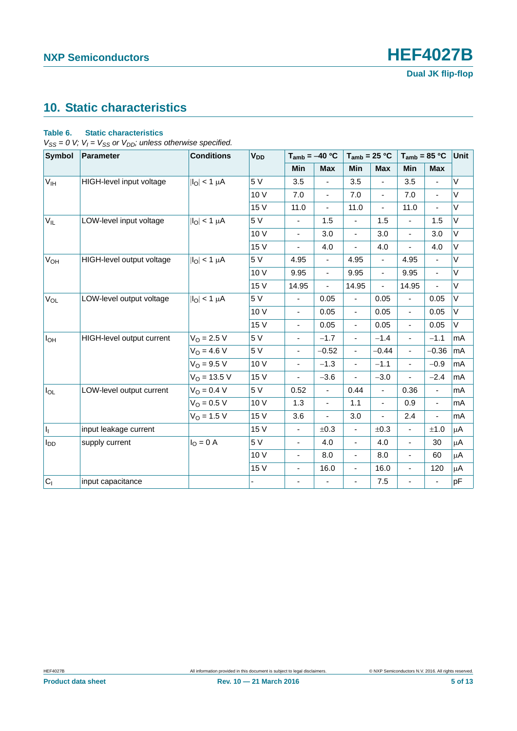## <span id="page-4-0"></span>**10. Static characteristics**

### **Table 6. Static characteristics**

 $V_{SS} = 0$  V;  $V_I = V_{SS}$  or  $V_{DD}$ ; unless otherwise specified.

| <b>Symbol</b>         | <b>Parameter</b>          | <b>Conditions</b>        | <b>V<sub>DD</sub></b> | $T_{amb} = -40 °C$           |                          |                              |               | $T_{amb}$ = 25 °C<br>$T_{amb}$ = 85 °C |                          | Unit    |
|-----------------------|---------------------------|--------------------------|-----------------------|------------------------------|--------------------------|------------------------------|---------------|----------------------------------------|--------------------------|---------|
|                       |                           |                          |                       | Min                          | <b>Max</b>               | Min                          | <b>Max</b>    | Min                                    | <b>Max</b>               |         |
| <b>V<sub>IH</sub></b> | HIGH-level input voltage  | $ I_{\text{O}} $ < 1 µA  | 5 V                   | 3.5                          |                          | 3.5                          |               | 3.5                                    |                          | $\vee$  |
|                       |                           |                          | 10 V                  | 7.0                          | ÷,                       | 7.0                          | ä,            | 7.0                                    | $\overline{\phantom{a}}$ | $\vee$  |
|                       |                           |                          | 15 V                  | 11.0                         | $\blacksquare$           | 11.0                         | L.            | 11.0                                   | ÷,                       | $\vee$  |
| $V_{IL}$              | LOW-level input voltage   | $ I_O  < 1 \mu A$        | 5 V                   | $\overline{\phantom{a}}$     | 1.5                      | $\blacksquare$               | 1.5           | $\blacksquare$                         | 1.5                      | V       |
|                       |                           |                          | 10 V                  | $\overline{\phantom{a}}$     | 3.0                      | $\blacksquare$               | 3.0           | $\blacksquare$                         | 3.0                      | V       |
|                       |                           |                          | 15 V                  | $\qquad \qquad \blacksquare$ | 4.0                      | $\blacksquare$               | 4.0           | $\overline{\phantom{0}}$               | 4.0                      | V       |
| V <sub>OH</sub>       | HIGH-level output voltage | $ I_{\Omega}  < 1 \mu A$ | 5 V                   | 4.95                         | $\overline{\phantom{a}}$ | 4.95                         | ÷,            | 4.95                                   | $\blacksquare$           | V       |
|                       |                           |                          | 10 V                  | 9.95                         | ÷,                       | 9.95                         | $\frac{1}{2}$ | 9.95                                   | $\blacksquare$           | $\vee$  |
|                       |                           |                          | 15 V                  | 14.95                        |                          | 14.95                        | L,            | 14.95                                  | $\overline{a}$           | V       |
| VOL                   | LOW-level output voltage  | $ I_{\Omega}  < 1 \mu A$ | 5 V                   |                              | 0.05                     | $\blacksquare$               | 0.05          | $\blacksquare$                         | 0.05                     | V       |
|                       |                           |                          | 10 V                  | $\blacksquare$               | 0.05                     | $\blacksquare$               | 0.05          | $\blacksquare$                         | 0.05                     | V       |
|                       |                           |                          | 15 V                  | $\blacksquare$               | 0.05                     | $\blacksquare$               | 0.05          | $\blacksquare$                         | 0.05                     | V       |
| $I_{OH}$              | HIGH-level output current | $V_{O} = 2.5 V$          | 5 V                   | $\qquad \qquad \blacksquare$ | $-1.7$                   | $\blacksquare$               | $-1.4$        | $\blacksquare$                         | $-1.1$                   | mA      |
|                       |                           | $V_0 = 4.6 V$            | 5 V                   | $\overline{\phantom{a}}$     | $-0.52$                  | $\blacksquare$               | $-0.44$       | $\blacksquare$                         | $-0.36$                  | mA      |
|                       |                           | $V_{O} = 9.5 V$          | 10 V                  | $\qquad \qquad \blacksquare$ | $-1.3$                   | $\blacksquare$               | $-1.1$        | $\overline{\phantom{0}}$               | $-0.9$                   | mA      |
|                       |                           | $V_{O}$ = 13.5 V         | 15 V                  | $\blacksquare$               | $-3.6$                   |                              | $-3.0$        |                                        | $-2.4$                   | mA      |
| $I_{OL}$              | LOW-level output current  | $V_O = 0.4 V$            | 5 V                   | 0.52                         | ä,                       | 0.44                         | ÷,            | 0.36                                   | $\overline{\phantom{a}}$ | mA      |
|                       |                           | $V_{O} = 0.5 V$          | 10 V                  | 1.3                          | $\blacksquare$           | 1.1                          | L,            | 0.9                                    | $\overline{\phantom{a}}$ | mA      |
|                       |                           | $V_0 = 1.5 V$            | 15 V                  | 3.6                          |                          | 3.0                          | L,            | 2.4                                    | $\blacksquare$           | mA      |
| h.                    | input leakage current     |                          | 15 V                  | ÷,                           | ±0.3                     | ÷,                           | ±0.3          | $\blacksquare$                         | $\pm 1.0$                | μA      |
| $I_{DD}$              | supply current            | $IO = 0$ A               | 5 V                   | $\blacksquare$               | 4.0                      | $\overline{a}$               | 4.0           | $\blacksquare$                         | 30                       | μA      |
|                       |                           |                          | 10 V                  | $\overline{\phantom{a}}$     | 8.0                      | $\qquad \qquad \blacksquare$ | 8.0           | ۰                                      | 60                       | μA      |
|                       |                           |                          | 15 V                  | $\overline{\phantom{a}}$     | 16.0                     | $\frac{1}{2}$                | 16.0          | $\overline{\phantom{0}}$               | 120                      | $\mu$ A |
| $C_1$                 | input capacitance         |                          |                       | $\qquad \qquad \blacksquare$ |                          | ÷,                           | 7.5           |                                        | ÷,                       | pF      |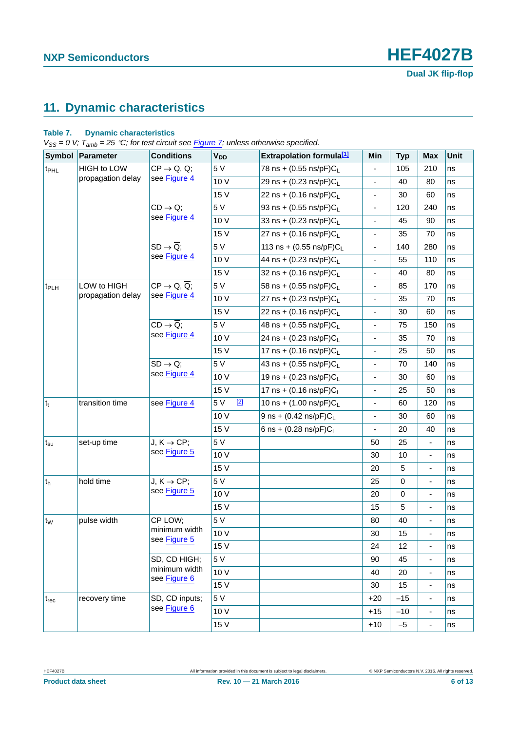## <span id="page-5-0"></span>**11. Dynamic characteristics**

### **Table 7. Dynamic characteristics**

*VSS = 0 V; Tamb = 25 C; for test circuit see [Figure 7;](#page-7-0) unless otherwise specified.*

|                                   | Symbol Parameter   | <b>Conditions</b>                    | <b>V<sub>DD</sub></b> | <b>Extrapolation formula[1]</b>      | Min                          | <b>Typ</b> | <b>Max</b>               | Unit |
|-----------------------------------|--------------------|--------------------------------------|-----------------------|--------------------------------------|------------------------------|------------|--------------------------|------|
| t <sub>PHL</sub>                  | <b>HIGH to LOW</b> | $CP \rightarrow Q, \overline{Q}$ ;   | 5 V                   | 78 ns + (0.55 ns/pF)CL               |                              | 105        | 210                      | ns   |
|                                   | propagation delay  | see Figure 4                         | 10 V                  | 29 ns + $(0.23 \text{ ns/pF})C_{L}$  | $\overline{\phantom{a}}$     | 40         | 80                       | ns   |
|                                   |                    |                                      | 15 V                  | 22 ns + $(0.16 \text{ ns/pF})C_{L}$  | $\blacksquare$               | 30         | 60                       | ns   |
|                                   |                    | $CD \rightarrow Q;$                  | 5 V                   | 93 ns + $(0.55 \text{ ns/pF})C_{L}$  | $\blacksquare$               | 120        | 240                      | ns   |
|                                   |                    | see Figure 4                         | 10 V                  | 33 ns + $(0.23 \text{ ns/pF})C_{L}$  | $\frac{1}{2}$                | 45         | 90                       | ns   |
|                                   |                    |                                      | 15 V                  | 27 ns + $(0.16 \text{ ns/pF})C_{L}$  | $\qquad \qquad \blacksquare$ | 35         | 70                       | ns   |
|                                   |                    | $SD \rightarrow \overline{Q}$ ;      | 5 V                   | 113 ns + $(0.55 \text{ ns/pF})C_{L}$ | $\overline{\phantom{a}}$     | 140        | 280                      | ns   |
|                                   |                    | see Figure 4                         | 10 V                  | 44 ns + $(0.23 \text{ ns/pF})C_{L}$  | $\qquad \qquad \blacksquare$ | 55         | 110                      | ns   |
|                                   |                    |                                      | 15 V                  | 32 ns + (0.16 ns/pF)CL               | $\blacksquare$               | 40         | 80                       | ns   |
| t <sub>PLH</sub>                  | LOW to HIGH        | $CP \rightarrow Q, \overline{Q}$ ;   | 5 V                   | 58 ns + $(0.55 \text{ ns/pF})C_{L}$  | $\blacksquare$               | 85         | 170                      | ns   |
|                                   | propagation delay  | see Figure 4                         | 10 V                  | 27 ns + $(0.23 \text{ ns/pF})C_{L}$  | ÷,                           | 35         | 70                       | ns   |
|                                   |                    |                                      | 15 V                  | 22 ns + $(0.16 \text{ ns/pF})C_{L}$  | $\qquad \qquad \blacksquare$ | 30         | 60                       | ns   |
|                                   |                    | $CD \rightarrow \overline{Q}$ ;      | 5 V                   | 48 ns + $(0.55 \text{ ns/pF})C_L$    | $\qquad \qquad \blacksquare$ | 75         | 150                      | ns   |
|                                   |                    | see Figure 4                         | 10 V                  | 24 ns + $(0.23 \text{ ns/pF})C_{L}$  | $\blacksquare$               | 35         | 70                       | ns   |
|                                   |                    |                                      | 15 V                  | 17 ns + $(0.16 \text{ ns/pF})C_{L}$  | $\blacksquare$               | 25         | 50                       | ns   |
|                                   |                    | $SD \rightarrow Q$ ;<br>see Figure 4 | 5 V                   | 43 ns + $(0.55 \text{ ns/pF})C_{L}$  | $\overline{\phantom{0}}$     | 70         | 140                      | ns   |
|                                   |                    |                                      | 10 V                  | 19 ns + $(0.23 \text{ ns/pF})C_L$    | $\frac{1}{2}$                | 30         | 60                       | ns   |
|                                   |                    |                                      | 15 V                  | 17 ns + $(0.16 \text{ ns/pF})C_{L}$  | $\qquad \qquad \blacksquare$ | 25         | 50                       | ns   |
| $ t_t $                           | transition time    | see Figure 4                         | $[2]$<br>5 V          | 10 ns + $(1.00 \text{ ns/pF})C_{L}$  | $\qquad \qquad \blacksquare$ | 60         | 120                      | ns   |
|                                   |                    |                                      | 10 V                  | 9 ns + $(0.42 \text{ ns/pF})C_{L}$   | $\qquad \qquad \blacksquare$ | 30         | 60                       | ns   |
|                                   |                    |                                      | 15 V                  | 6 ns + $(0.28 \text{ ns/pF})C_L$     | $\blacksquare$               | 20         | 40                       | ns   |
| $t_{\scriptscriptstyle\text{SU}}$ | set-up time        | $J, K \rightarrow CP;$               | 5 V                   |                                      | 50                           | 25         | $\overline{\phantom{a}}$ | ns   |
|                                   |                    | see Figure 5                         | 10 V                  |                                      | 30                           | 10         | $\overline{\phantom{a}}$ | ns   |
|                                   |                    |                                      | 15 V                  |                                      | 20                           | 5          | $\overline{\phantom{a}}$ | ns   |
| $ t_h$                            | hold time          | $J, K \rightarrow CP;$               | 5 V                   |                                      | 25                           | 0          | $\overline{\phantom{a}}$ | ns   |
|                                   |                    | see Figure 5                         | 10 V                  |                                      | 20                           | 0          | $\overline{\phantom{a}}$ | ns   |
|                                   |                    |                                      | 15 V                  |                                      | 15                           | 5          | $\blacksquare$           | ns   |
| t <sub>w</sub>                    | pulse width        | CP LOW;                              | 5 V                   |                                      | 80                           | 40         | $\blacksquare$           | ns   |
|                                   |                    | minimum width<br>see Figure 5        | 10 V                  |                                      | 30                           | 15         | $\overline{\phantom{a}}$ | ns   |
|                                   |                    |                                      | 15 V                  |                                      | 24                           | 12         | $\overline{\phantom{a}}$ | ns   |
|                                   |                    | SD, CD HIGH;                         | 5 V                   |                                      | 90                           | 45         | ÷                        | ns   |
|                                   |                    | minimum width<br>see Figure 6        | 10 V                  |                                      | 40                           | 20         | $\overline{\phantom{a}}$ | ns   |
|                                   |                    |                                      | 15 V                  |                                      | 30                           | 15         | $\overline{\phantom{a}}$ | ns   |
| $t_{rec}$                         | recovery time      | SD, CD inputs;                       | 5 V                   |                                      | $+20$                        | $-15$      | $\overline{\phantom{a}}$ | ns   |
|                                   |                    | see Figure 6                         | 10 V                  |                                      | $+15$                        | $-10$      | $\overline{\phantom{a}}$ | ns   |
|                                   |                    |                                      | 15 V                  |                                      | $+10$                        | $-5$       | ٠                        | ns   |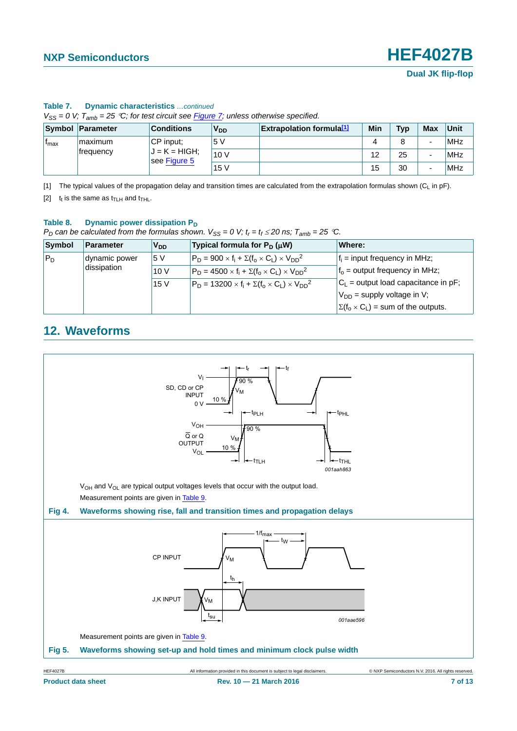**Dual JK flip-flop**

|                  | $V_{SS} = 0$ V; $T_{amb} = 25$ °C; for test circuit see Figure 7; unless otherwise specified. |                                 |                       |                                  |     |     |     |      |  |
|------------------|-----------------------------------------------------------------------------------------------|---------------------------------|-----------------------|----------------------------------|-----|-----|-----|------|--|
|                  | Symbol Parameter                                                                              | <b>Conditions</b>               | <b>V<sub>DD</sub></b> | <b>Extrapolation formula</b> [1] | Min | Tvp | Max | Unit |  |
| <sup>I</sup> max | maximum                                                                                       | $ CP $ input:                   | 5V                    |                                  | 4   |     |     | MHz  |  |
|                  | <b>frequency</b>                                                                              | $J = K = HIGH;$<br>see Figure 5 | 10V                   |                                  | 12  | 25  |     | MHz  |  |
|                  |                                                                                               |                                 | 15V                   |                                  | 15  | 30  |     | MHz  |  |

### **Table 7. Dynamic characteristics** *…continued*

<span id="page-6-0"></span>[1] The typical values of the propagation delay and transition times are calculated from the extrapolation formulas shown  $(C_L$  in pF).

<span id="page-6-2"></span>[2]  $t_t$  is the same as  $t_{\text{TLH}}$  and  $t_{\text{THL}}$ .

### Table 8. Dynamic power dissipation P<sub>D</sub>

*P*<sub>D</sub> can be calculated from the formulas shown.  $V_{SS} = 0$  V;  $t_r = t_f \le 20$  ns;  $T_{amb} = 25$  °C.

| Symbol | Parameter     | <b>V<sub>DD</sub></b> | Typical formula for $P_D(\mu W)$                                  | Where:                                         |
|--------|---------------|-----------------------|-------------------------------------------------------------------|------------------------------------------------|
| $P_D$  | dynamic power | 5 V                   | $P_D = 900 \times f_i + \Sigma(f_0 \times C_1) \times V_{DD}^2$   | $f_i$ = input frequency in MHz;                |
|        | dissipation   | 10V                   | $P_D = 4500 \times f_i + \Sigma(f_o \times C_L) \times V_{DD}^2$  | $fo$ = output frequency in MHz;                |
|        |               | 15V                   | $P_D = 13200 \times f_i + \Sigma(f_o \times C_L) \times V_{DD}^2$ | $ C_1 $ = output load capacitance in pF;       |
|        |               |                       |                                                                   | $V_{DD}$ = supply voltage in V;                |
|        |               |                       |                                                                   | $\Sigma(f_0 \times C_L)$ = sum of the outputs. |

## <span id="page-6-4"></span>**12. Waveforms**

<span id="page-6-3"></span><span id="page-6-1"></span>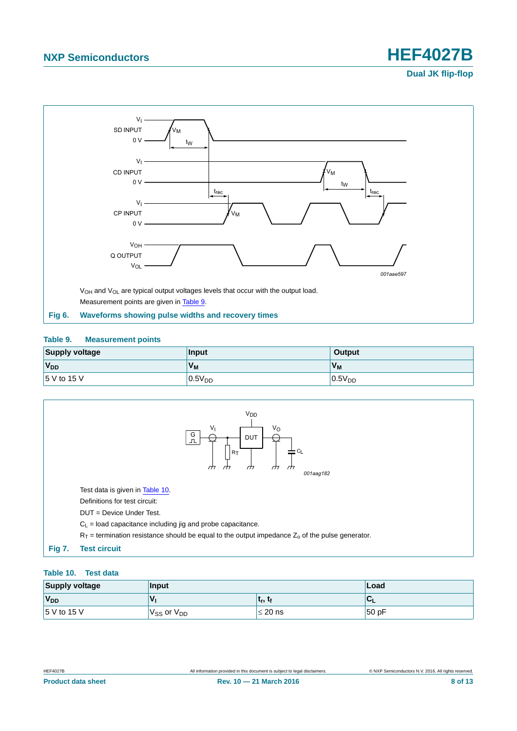**Dual JK flip-flop**



### <span id="page-7-2"></span><span id="page-7-1"></span>**Table 9. Measurement points**

| Supply voltage | <b>Input</b>       | Output             |
|----------------|--------------------|--------------------|
| $V_{DD}$       | $V_{\mathsf{M}}$   | $V_M$              |
| 5 V to 15 V    | 0.5V <sub>DD</sub> | 0.5V <sub>DD</sub> |



### <span id="page-7-3"></span><span id="page-7-0"></span>**Table 10. Test data**

| <b>Supply voltage</b> | Input                | Load                              |        |
|-----------------------|----------------------|-----------------------------------|--------|
| V <sub>DD</sub>       | $\mathbf v$          | ∣ ւ <sub>r</sub> , ւ <sub>f</sub> | $\sim$ |
| $15$ V to 15 V        | $V_{SS}$ or $V_{DD}$ | $\leq$ 20 ns                      | 50 pF  |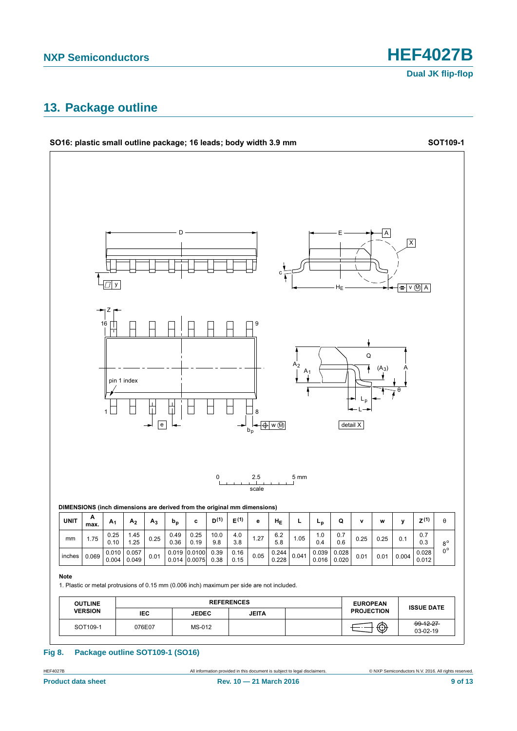**Dual JK flip-flop**

## <span id="page-8-0"></span>**13. Package outline**



### **Fig 8. Package outline SOT109-1 (SO16)**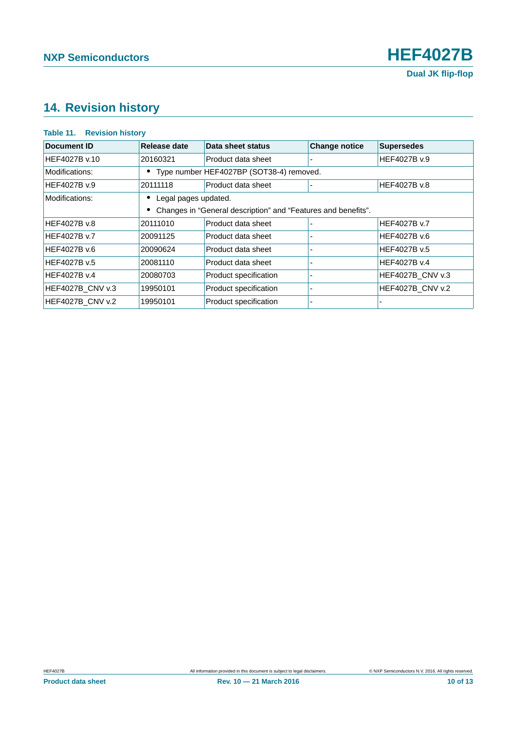## <span id="page-9-0"></span>**14. Revision history**

### **Table 11. Revision history**

| Document ID         | Release date                               | Data sheet status                                             | <b>Change notice</b> | <b>Supersedes</b>   |
|---------------------|--------------------------------------------|---------------------------------------------------------------|----------------------|---------------------|
| HEF4027B v.10       | 20160321                                   | Product data sheet                                            |                      | HEF4027B v.9        |
| Modifications:      | • Type number HEF4027BP (SOT38-4) removed. |                                                               |                      |                     |
| HEF4027B v.9        | 20111118                                   | Product data sheet                                            |                      | <b>HEF4027B v.8</b> |
| Modifications:      | Legal pages updated.                       |                                                               |                      |                     |
|                     |                                            | Changes in "General description" and "Features and benefits". |                      |                     |
| <b>HEF4027B v.8</b> | 20111010                                   | Product data sheet                                            |                      | HEF4027B v.7        |
| <b>HEF4027B v.7</b> | 20091125                                   | Product data sheet                                            |                      | HEF4027B v.6        |
| HEF4027B v.6        | 20090624                                   | Product data sheet                                            |                      | HEF4027B v.5        |
| HEF4027B v.5        | 20081110                                   | Product data sheet                                            |                      | HEF4027B v.4        |
| HEF4027B v.4        | 20080703                                   | Product specification                                         |                      | HEF4027B_CNV v.3    |
| HEF4027B CNV v.3    | 19950101                                   | Product specification                                         |                      | HEF4027B_CNV v.2    |
| HEF4027B_CNV v.2    | 19950101                                   | Product specification                                         |                      |                     |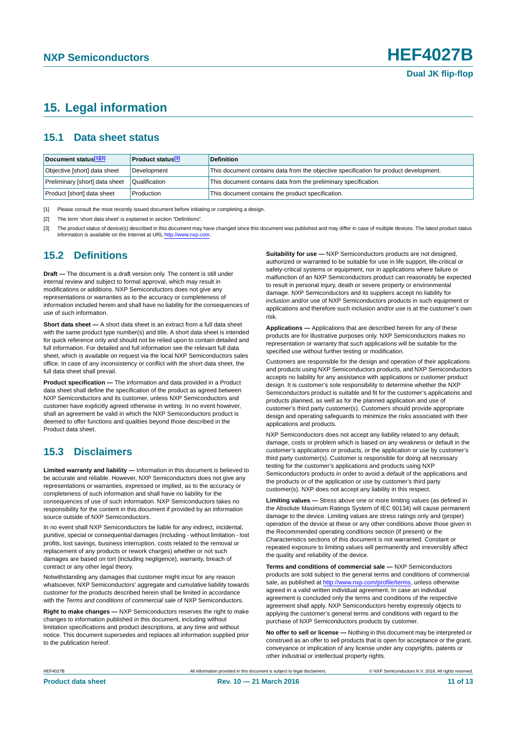## <span id="page-10-3"></span>**15. Legal information**

### <span id="page-10-4"></span>**15.1 Data sheet status**

| Document status[1][2]          | <b>Product status</b> <sup>[3]</sup> | <b>Definition</b>                                                                     |
|--------------------------------|--------------------------------------|---------------------------------------------------------------------------------------|
| Objective [short] data sheet   | Development                          | This document contains data from the objective specification for product development. |
| Preliminary [short] data sheet | Qualification                        | This document contains data from the preliminary specification.                       |
| Product [short] data sheet     | Production                           | This document contains the product specification.                                     |

<span id="page-10-0"></span>[1] Please consult the most recently issued document before initiating or completing a design.

<span id="page-10-1"></span>[2] The term 'short data sheet' is explained in section "Definitions".

<span id="page-10-2"></span>[3] The product status of device(s) described in this document may have changed since this document was published and may differ in case of multiple devices. The latest product status<br>information is available on the Intern

### <span id="page-10-5"></span>**15.2 Definitions**

**Draft —** The document is a draft version only. The content is still under internal review and subject to formal approval, which may result in modifications or additions. NXP Semiconductors does not give any representations or warranties as to the accuracy or completeness of information included herein and shall have no liability for the consequences of use of such information.

**Short data sheet —** A short data sheet is an extract from a full data sheet with the same product type number(s) and title. A short data sheet is intended for quick reference only and should not be relied upon to contain detailed and full information. For detailed and full information see the relevant full data sheet, which is available on request via the local NXP Semiconductors sales office. In case of any inconsistency or conflict with the short data sheet, the full data sheet shall prevail.

**Product specification —** The information and data provided in a Product data sheet shall define the specification of the product as agreed between NXP Semiconductors and its customer, unless NXP Semiconductors and customer have explicitly agreed otherwise in writing. In no event however, shall an agreement be valid in which the NXP Semiconductors product is deemed to offer functions and qualities beyond those described in the Product data sheet.

### <span id="page-10-6"></span>**15.3 Disclaimers**

**Limited warranty and liability —** Information in this document is believed to be accurate and reliable. However, NXP Semiconductors does not give any representations or warranties, expressed or implied, as to the accuracy or completeness of such information and shall have no liability for the consequences of use of such information. NXP Semiconductors takes no responsibility for the content in this document if provided by an information source outside of NXP Semiconductors.

In no event shall NXP Semiconductors be liable for any indirect, incidental, punitive, special or consequential damages (including - without limitation - lost profits, lost savings, business interruption, costs related to the removal or replacement of any products or rework charges) whether or not such damages are based on tort (including negligence), warranty, breach of contract or any other legal theory.

Notwithstanding any damages that customer might incur for any reason whatsoever, NXP Semiconductors' aggregate and cumulative liability towards customer for the products described herein shall be limited in accordance with the *Terms and conditions of commercial sale* of NXP Semiconductors.

**Right to make changes —** NXP Semiconductors reserves the right to make changes to information published in this document, including without limitation specifications and product descriptions, at any time and without notice. This document supersedes and replaces all information supplied prior to the publication hereof.

**Suitability for use —** NXP Semiconductors products are not designed, authorized or warranted to be suitable for use in life support, life-critical or safety-critical systems or equipment, nor in applications where failure or malfunction of an NXP Semiconductors product can reasonably be expected to result in personal injury, death or severe property or environmental damage. NXP Semiconductors and its suppliers accept no liability for inclusion and/or use of NXP Semiconductors products in such equipment or applications and therefore such inclusion and/or use is at the customer's own risk.

**Applications —** Applications that are described herein for any of these products are for illustrative purposes only. NXP Semiconductors makes no representation or warranty that such applications will be suitable for the specified use without further testing or modification.

Customers are responsible for the design and operation of their applications and products using NXP Semiconductors products, and NXP Semiconductors accepts no liability for any assistance with applications or customer product design. It is customer's sole responsibility to determine whether the NXP Semiconductors product is suitable and fit for the customer's applications and products planned, as well as for the planned application and use of customer's third party customer(s). Customers should provide appropriate design and operating safeguards to minimize the risks associated with their applications and products.

NXP Semiconductors does not accept any liability related to any default, damage, costs or problem which is based on any weakness or default in the customer's applications or products, or the application or use by customer's third party customer(s). Customer is responsible for doing all necessary testing for the customer's applications and products using NXP Semiconductors products in order to avoid a default of the applications and the products or of the application or use by customer's third party customer(s). NXP does not accept any liability in this respect.

**Limiting values —** Stress above one or more limiting values (as defined in the Absolute Maximum Ratings System of IEC 60134) will cause permanent damage to the device. Limiting values are stress ratings only and (proper) operation of the device at these or any other conditions above those given in the Recommended operating conditions section (if present) or the Characteristics sections of this document is not warranted. Constant or repeated exposure to limiting values will permanently and irreversibly affect the quality and reliability of the device.

**Terms and conditions of commercial sale —** NXP Semiconductors products are sold subject to the general terms and conditions of commercial sale, as published at<http://www.nxp.com/profile/terms>, unless otherwise agreed in a valid written individual agreement. In case an individual agreement is concluded only the terms and conditions of the respective agreement shall apply. NXP Semiconductors hereby expressly objects to applying the customer's general terms and conditions with regard to the purchase of NXP Semiconductors products by customer.

**No offer to sell or license —** Nothing in this document may be interpreted or construed as an offer to sell products that is open for acceptance or the grant, conveyance or implication of any license under any copyrights, patents or other industrial or intellectual property rights.

HEF4027B All information provided in this document is subject to legal disclaimers. © NXP Semiconductors N.V. 2016. All rights reserved.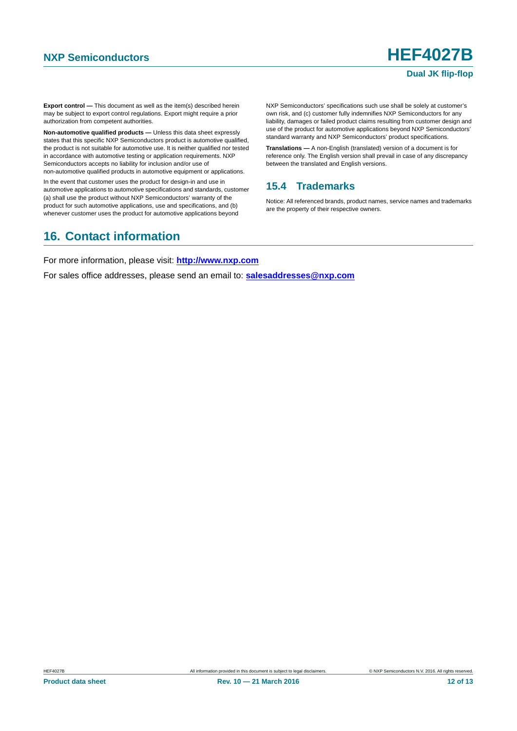### **Dual JK flip-flop**

**Export control —** This document as well as the item(s) described herein may be subject to export control regulations. Export might require a prior authorization from competent authorities.

**Non-automotive qualified products —** Unless this data sheet expressly states that this specific NXP Semiconductors product is automotive qualified, the product is not suitable for automotive use. It is neither qualified nor tested in accordance with automotive testing or application requirements. NXP Semiconductors accepts no liability for inclusion and/or use of non-automotive qualified products in automotive equipment or applications.

In the event that customer uses the product for design-in and use in automotive applications to automotive specifications and standards, customer (a) shall use the product without NXP Semiconductors' warranty of the product for such automotive applications, use and specifications, and (b) whenever customer uses the product for automotive applications beyond

NXP Semiconductors' specifications such use shall be solely at customer's own risk, and (c) customer fully indemnifies NXP Semiconductors for any liability, damages or failed product claims resulting from customer design and use of the product for automotive applications beyond NXP Semiconductors' standard warranty and NXP Semiconductors' product specifications.

**Translations —** A non-English (translated) version of a document is for reference only. The English version shall prevail in case of any discrepancy between the translated and English versions.

### <span id="page-11-0"></span>**15.4 Trademarks**

Notice: All referenced brands, product names, service names and trademarks are the property of their respective owners.

## <span id="page-11-1"></span>**16. Contact information**

For more information, please visit: **http://www.nxp.com**

For sales office addresses, please send an email to: **salesaddresses@nxp.com**